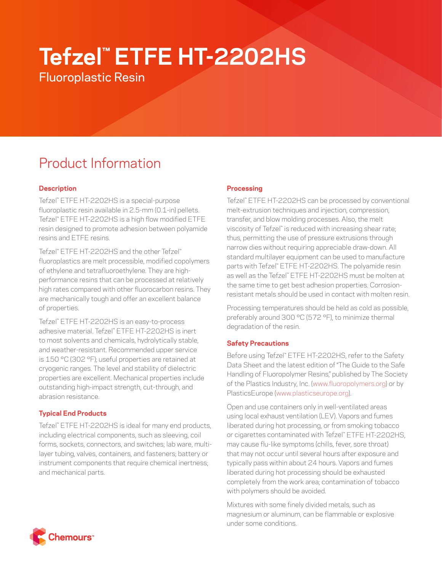# **Tefzel™ ETFE HT-2202HS**

Fluoroplastic Resin

# Product Information

# **Description**

Tefzel™ ETFE HT-2202HS is a special-purpose fluoroplastic resin available in 2.5-mm (0.1-in) pellets. Tefzel™ ETFE HT-2202HS is a high flow modified ETFE resin designed to promote adhesion between polyamide resins and ETFE resins.

Tefzel™ ETFE HT-2202HS and the other Tefzel™ fluoroplastics are melt processible, modified copolymers of ethylene and tetrafluoroethylene. They are highperformance resins that can be processed at relatively high rates compared with other fluorocarbon resins. They are mechanically tough and offer an excellent balance of properties.

Tefzel™ ETFE HT-2202HS is an easy-to-process adhesive material. Tefzel™ ETFE HT-2202HS is inert to most solvents and chemicals, hydrolytically stable, and weather-resistant. Recommended upper service is 150 °C (302 °F); useful properties are retained at cryogenic ranges. The level and stability of dielectric properties are excellent. Mechanical properties include outstanding high-impact strength, cut-through, and abrasion resistance.

# **Typical End Products**

Tefzel™ ETFE HT-2202HS is ideal for many end products, including electrical components, such as sleeving, coil forms, sockets, connectors, and switches; lab ware, multilayer tubing, valves, containers, and fasteners; battery or instrument components that require chemical inertness; and mechanical parts.

## **Processing**

Tefzel™ ETFE HT-2202HS can be processed by conventional melt-extrusion techniques and injection, compression, transfer, and blow molding processes. Also, the melt viscosity of Tefzel™ is reduced with increasing shear rate; thus, permitting the use of pressure extrusions through narrow dies without requiring appreciable draw-down. All standard multilayer equipment can be used to manufacture parts with Tefzel™ ETFE HT-2202HS. The polyamide resin as well as the Tefzel™ ETFE HT-2202HS must be molten at the same time to get best adhesion properties. Corrosionresistant metals should be used in contact with molten resin.

Processing temperatures should be held as cold as possible, preferably around 300 °C (572 °F), to minimize thermal degradation of the resin.

# **Safety Precautions**

Before using Tefzel™ ETFE HT-2202HS, refer to the Safety Data Sheet and the latest edition of "The Guide to the Safe Handling of Fluoropolymer Resins," published by The Society of the Plastics Industry, Inc. [\(www.fluoropolymers.org](http://www.fluoropolymers.org)) or by PlasticsEurope ([www.plasticseurope.org](http://www.plasticseurope.org)).

Open and use containers only in well-ventilated areas using local exhaust ventilation (LEV). Vapors and fumes liberated during hot processing, or from smoking tobacco or cigarettes contaminated with Tefzel™ ETFE HT-2202HS, may cause flu-like symptoms (chills, fever, sore throat) that may not occur until several hours after exposure and typically pass within about 24 hours. Vapors and fumes liberated during hot processing should be exhausted completely from the work area; contamination of tobacco with polymers should be avoided.

Mixtures with some finely divided metals, such as magnesium or aluminum, can be flammable or explosive under some conditions.